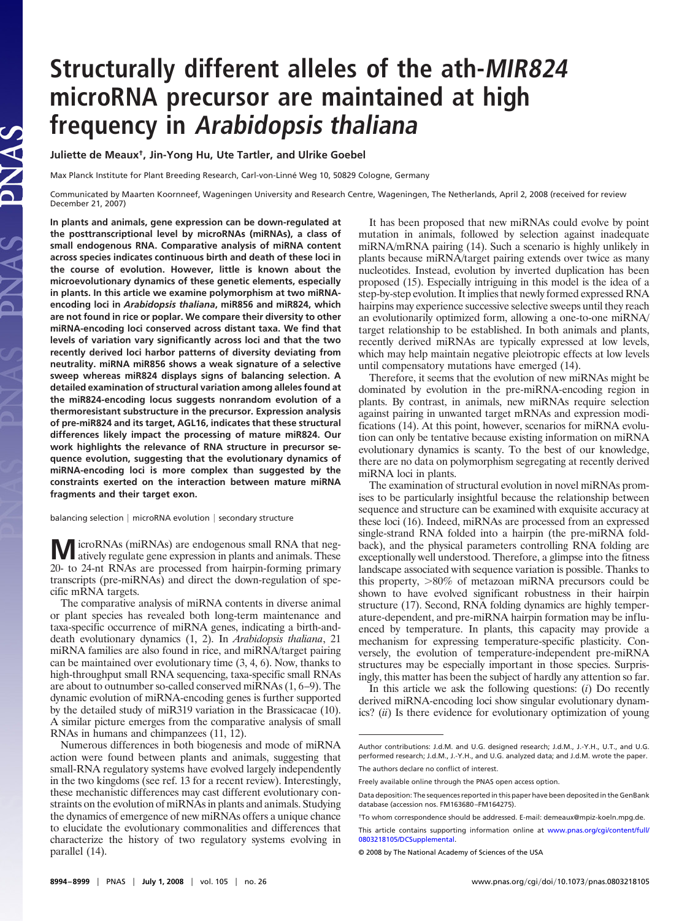# **Structurally different alleles of the ath-MIR824 microRNA precursor are maintained at high frequency in Arabidopsis thaliana**

**Juliette de Meaux†, Jin-Yong Hu, Ute Tartler, and Ulrike Goebel**

**SANG** 

Max Planck Institute for Plant Breeding Research, Carl-von-Linné Weg 10, 50829 Cologne, Germany

Communicated by Maarten Koornneef, Wageningen University and Research Centre, Wageningen, The Netherlands, April 2, 2008 (received for review December 21, 2007)

**In plants and animals, gene expression can be down-regulated at the posttranscriptional level by microRNAs (miRNAs), a class of small endogenous RNA. Comparative analysis of miRNA content across species indicates continuous birth and death of these loci in the course of evolution. However, little is known about the microevolutionary dynamics of these genetic elements, especially in plants. In this article we examine polymorphism at two miRNAencoding loci in** *Arabidopsis thaliana***, miR856 and miR824, which are not found in rice or poplar. We compare their diversity to other miRNA-encoding loci conserved across distant taxa. We find that levels of variation vary significantly across loci and that the two recently derived loci harbor patterns of diversity deviating from neutrality. miRNA miR856 shows a weak signature of a selective sweep whereas miR824 displays signs of balancing selection. A detailed examination of structural variation among alleles found at the miR824-encoding locus suggests nonrandom evolution of a thermoresistant substructure in the precursor. Expression analysis of pre-miR824 and its target, AGL16, indicates that these structural differences likely impact the processing of mature miR824. Our work highlights the relevance of RNA structure in precursor sequence evolution, suggesting that the evolutionary dynamics of miRNA-encoding loci is more complex than suggested by the constraints exerted on the interaction between mature miRNA fragments and their target exon.**

balancing selection  $|$  microRNA evolution  $|$  secondary structure

**M** icroRNAs (miRNAs) are endogenous small RNA that negatively regulate gene expression in plants and animals. These 20- to 24-nt RNAs are processed from hairpin-forming primary transcripts (pre-miRNAs) and direct the down-regulation of specific mRNA targets.

The comparative analysis of miRNA contents in diverse animal or plant species has revealed both long-term maintenance and taxa-specific occurrence of miRNA genes, indicating a birth-anddeath evolutionary dynamics (1, 2). In *Arabidopsis thaliana*, 21 miRNA families are also found in rice, and miRNA/target pairing can be maintained over evolutionary time (3, 4, 6). Now, thanks to high-throughput small RNA sequencing, taxa-specific small RNAs are about to outnumber so-called conserved miRNAs (1, 6–9). The dynamic evolution of miRNA-encoding genes is further supported by the detailed study of miR319 variation in the Brassicacae (10). A similar picture emerges from the comparative analysis of small RNAs in humans and chimpanzees (11, 12).

Numerous differences in both biogenesis and mode of miRNA action were found between plants and animals, suggesting that small-RNA regulatory systems have evolved largely independently in the two kingdoms (see ref. 13 for a recent review). Interestingly, these mechanistic differences may cast different evolutionary constraints on the evolution of miRNAs in plants and animals. Studying the dynamics of emergence of new miRNAs offers a unique chance to elucidate the evolutionary commonalities and differences that characterize the history of two regulatory systems evolving in parallel (14).

It has been proposed that new miRNAs could evolve by point mutation in animals, followed by selection against inadequate miRNA/mRNA pairing (14). Such a scenario is highly unlikely in plants because miRNA/target pairing extends over twice as many nucleotides. Instead, evolution by inverted duplication has been proposed (15). Especially intriguing in this model is the idea of a step-by-step evolution. It implies that newly formed expressed RNA hairpins may experience successive selective sweeps until they reach an evolutionarily optimized form, allowing a one-to-one miRNA/ target relationship to be established. In both animals and plants, recently derived miRNAs are typically expressed at low levels, which may help maintain negative pleiotropic effects at low levels until compensatory mutations have emerged (14).

Therefore, it seems that the evolution of new miRNAs might be dominated by evolution in the pre-miRNA-encoding region in plants. By contrast, in animals, new miRNAs require selection against pairing in unwanted target mRNAs and expression modifications (14). At this point, however, scenarios for miRNA evolution can only be tentative because existing information on miRNA evolutionary dynamics is scanty. To the best of our knowledge, there are no data on polymorphism segregating at recently derived miRNA loci in plants.

The examination of structural evolution in novel miRNAs promises to be particularly insightful because the relationship between sequence and structure can be examined with exquisite accuracy at these loci (16). Indeed, miRNAs are processed from an expressed single-strand RNA folded into a hairpin (the pre-miRNA foldback), and the physical parameters controlling RNA folding are exceptionally well understood. Therefore, a glimpse into the fitness landscape associated with sequence variation is possible. Thanks to this property,  $>80\%$  of metazoan miRNA precursors could be shown to have evolved significant robustness in their hairpin structure (17). Second, RNA folding dynamics are highly temperature-dependent, and pre-miRNA hairpin formation may be influenced by temperature. In plants, this capacity may provide a mechanism for expressing temperature-specific plasticity. Conversely, the evolution of temperature-independent pre-miRNA structures may be especially important in those species. Surprisingly, this matter has been the subject of hardly any attention so far.

In this article we ask the following questions: (*i*) Do recently derived miRNA-encoding loci show singular evolutionary dynamics? (*ii*) Is there evidence for evolutionary optimization of young

Author contributions: J.d.M. and U.G. designed research; J.d.M., J.-Y.H., U.T., and U.G. performed research; J.d.M., J.-Y.H., and U.G. analyzed data; and J.d.M. wrote the paper. The authors declare no conflict of interest.

Freely available online through the PNAS open access option.

Data deposition: The sequences reported in this paper have been deposited in the GenBank database (accession nos. FM163680–FM164275).

<sup>†</sup>To whom correspondence should be addressed. E-mail: demeaux@mpiz-koeln.mpg.de.

This article contains supporting information online at [www.pnas.org/cgi/content/full/](http://www.pnas.org/cgi/content/full/0803218105/DCSupplemental) [0803218105/DCSupplemental.](http://www.pnas.org/cgi/content/full/0803218105/DCSupplemental)

<sup>© 2008</sup> by The National Academy of Sciences of the USA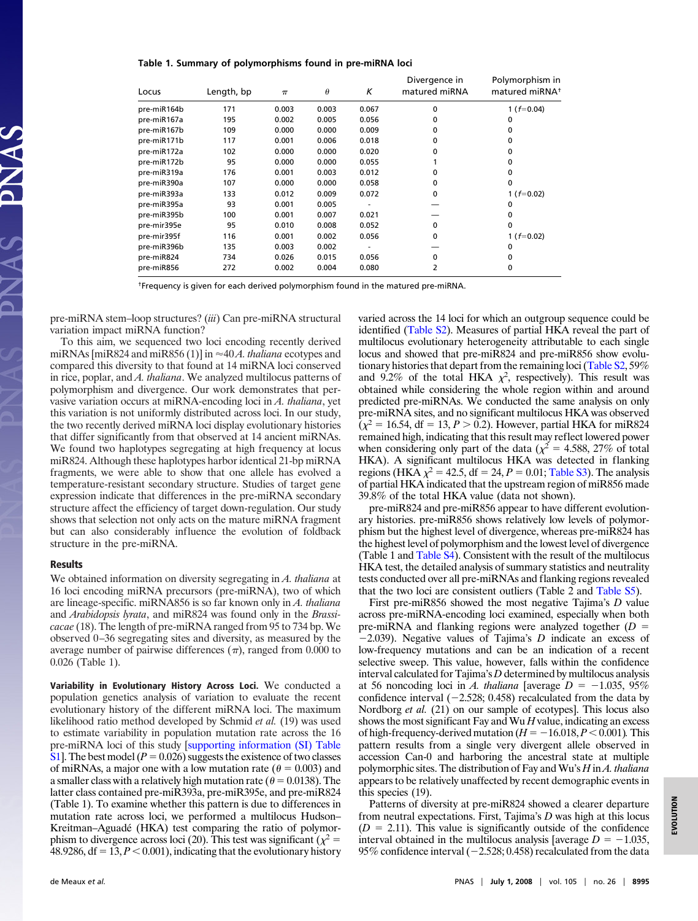**Table 1. Summary of polymorphisms found in pre-miRNA loci**

| Locus       | Length, bp | $\pi$ | $\theta$ | Κ     | Divergence in<br>matured miRNA | Polymorphism in<br>matured miRNA <sup>+</sup> |
|-------------|------------|-------|----------|-------|--------------------------------|-----------------------------------------------|
| pre-miR164b | 171        | 0.003 | 0.003    | 0.067 | $\Omega$                       | 1 ( $f=0.04$ )                                |
| pre-miR167a | 195        | 0.002 | 0.005    | 0.056 | O                              | 0                                             |
| pre-miR167b | 109        | 0.000 | 0.000    | 0.009 | O                              | 0                                             |
| pre-miR171b | 117        | 0.001 | 0.006    | 0.018 | O                              | 0                                             |
| pre-miR172a | 102        | 0.000 | 0.000    | 0.020 | O                              | 0                                             |
| pre-miR172b | 95         | 0.000 | 0.000    | 0.055 |                                | 0                                             |
| pre-miR319a | 176        | 0.001 | 0.003    | 0.012 | O                              | 0                                             |
| pre-miR390a | 107        | 0.000 | 0.000    | 0.058 | 0                              | 0                                             |
| pre-miR393a | 133        | 0.012 | 0.009    | 0.072 | $\Omega$                       | 1 ( $f=0.02$ )                                |
| pre-miR395a | 93         | 0.001 | 0.005    |       |                                | 0                                             |
| pre-miR395b | 100        | 0.001 | 0.007    | 0.021 |                                | 0                                             |
| pre-mir395e | 95         | 0.010 | 0.008    | 0.052 | $\Omega$                       | 0                                             |
| pre-mir395f | 116        | 0.001 | 0.002    | 0.056 | 0                              | 1 ( $f=0.02$ )                                |
| pre-miR396b | 135        | 0.003 | 0.002    |       |                                | 0                                             |
| pre-miR824  | 734        | 0.026 | 0.015    | 0.056 | $\Omega$                       | 0                                             |
| pre-miR856  | 272        | 0.002 | 0.004    | 0.080 | $\overline{2}$                 | $\mathbf{0}$                                  |

†Frequency is given for each derived polymorphism found in the matured pre-miRNA.

pre-miRNA stem–loop structures? (*iii*) Can pre-miRNA structural variation impact miRNA function?

To this aim, we sequenced two loci encoding recently derived miRNAs [miR824 and miR856 (1)] in ≈40*A. thaliana* ecotypes and compared this diversity to that found at 14 miRNA loci conserved in rice, poplar, and *A. thaliana*. We analyzed multilocus patterns of polymorphism and divergence. Our work demonstrates that pervasive variation occurs at miRNA-encoding loci in *A. thaliana*, yet this variation is not uniformly distributed across loci. In our study, the two recently derived miRNA loci display evolutionary histories that differ significantly from that observed at 14 ancient miRNAs. We found two haplotypes segregating at high frequency at locus miR824. Although these haplotypes harbor identical 21-bp miRNA fragments, we were able to show that one allele has evolved a temperature-resistant secondary structure. Studies of target gene expression indicate that differences in the pre-miRNA secondary structure affect the efficiency of target down-regulation. Our study shows that selection not only acts on the mature miRNA fragment but can also considerably influence the evolution of foldback structure in the pre-miRNA.

## **Results**

We obtained information on diversity segregating in *A. thaliana* at 16 loci encoding miRNA precursors (pre-miRNA), two of which are lineage-specific. miRNA856 is so far known only in *A. thaliana* and *Arabidopsis lyrata*, and miR824 was found only in the *Brassicacae* (18). The length of pre-miRNA ranged from 95 to 734 bp. We observed 0–36 segregating sites and diversity, as measured by the average number of pairwise differences  $(\pi)$ , ranged from 0.000 to 0.026 (Table 1).

**Variability in Evolutionary History Across Loci.** We conducted a population genetics analysis of variation to evaluate the recent evolutionary history of the different miRNA loci. The maximum likelihood ratio method developed by Schmid *et al.* (19) was used to estimate variability in population mutation rate across the 16 pre-miRNA loci of this study [\[supporting information \(SI\) Table](http://www.pnas.org/cgi/data/0803218105/DCSupplemental/Supplemental_PDF#nameddest=ST1) [S1\]](http://www.pnas.org/cgi/data/0803218105/DCSupplemental/Supplemental_PDF#nameddest=ST1). The best model  $(P = 0.026)$  suggests the existence of two classes of miRNAs, a major one with a low mutation rate ( $\theta = 0.003$ ) and a smaller class with a relatively high mutation rate ( $\theta = 0.0138$ ). The latter class contained pre-miR393a, pre-miR395e, and pre-miR824 (Table 1). To examine whether this pattern is due to differences in mutation rate across loci, we performed a multilocus Hudson– Kreitman–Aguadé (HKA) test comparing the ratio of polymorphism to divergence across loci (20). This test was significant ( $\chi^2$  = 48.9286, df =  $13, P < 0.001$ ), indicating that the evolutionary history varied across the 14 loci for which an outgroup sequence could be identified [\(Table S2\)](http://www.pnas.org/cgi/data/0803218105/DCSupplemental/Supplemental_PDF#nameddest=ST2). Measures of partial HKA reveal the part of multilocus evolutionary heterogeneity attributable to each single locus and showed that pre-miR824 and pre-miR856 show evolutionary histories that depart from the remaining loci [\(Table S2,](http://www.pnas.org/cgi/data/0803218105/DCSupplemental/Supplemental_PDF#nameddest=ST2) 59% and 9.2% of the total HKA  $\chi^2$ , respectively). This result was obtained while considering the whole region within and around predicted pre-miRNAs. We conducted the same analysis on only pre-miRNA sites, and no significant multilocus HKA was observed  $(\chi^2 = 16.54, df = 13, P > 0.2)$ . However, partial HKA for miR824 remained high, indicating that this result may reflect lowered power when considering only part of the data ( $\chi^2$  = 4.588, 27% of total HKA). A significant multilocus HKA was detected in flanking regions (HKA  $\chi^2$  = 42.5, df = 24, *P* = 0.01; [Table S3\)](http://www.pnas.org/cgi/data/0803218105/DCSupplemental/Supplemental_PDF#nameddest=ST3). The analysis of partial HKA indicated that the upstream region of miR856 made 39.8% of the total HKA value (data not shown).

pre-miR824 and pre-miR856 appear to have different evolutionary histories. pre-miR856 shows relatively low levels of polymorphism but the highest level of divergence, whereas pre-miR824 has the highest level of polymorphism and the lowest level of divergence (Table 1 and [Table S4\)](http://www.pnas.org/cgi/data/0803218105/DCSupplemental/Supplemental_PDF#nameddest=ST4). Consistent with the result of the multilocus HKA test, the detailed analysis of summary statistics and neutrality tests conducted over all pre-miRNAs and flanking regions revealed that the two loci are consistent outliers (Table 2 and [Table S5\)](http://www.pnas.org/cgi/data/0803218105/DCSupplemental/Supplemental_PDF#nameddest=ST5).

First pre-miR856 showed the most negative Tajima's *D* value across pre-miRNA-encoding loci examined, especially when both pre-miRNA and flanking regions were analyzed together (*D* 2.039). Negative values of Tajima's *D* indicate an excess of low-frequency mutations and can be an indication of a recent selective sweep. This value, however, falls within the confidence interval calculated for Tajima's *D* determined by multilocus analysis at 56 noncoding loci in *A. thaliana* [average  $D = -1.035, 95\%$ confidence interval  $(-2.528; 0.458)$  recalculated from the data by Nordborg *et al.* (21) on our sample of ecotypes]. This locus also shows the most significant Fay and Wu *H* value, indicating an excess of high-frequency-derived mutation ( $H = -16.018$ ,  $P < 0.001$ ). This pattern results from a single very divergent allele observed in accession Can-0 and harboring the ancestral state at multiple polymorphic sites. The distribution of Fay and Wu's *H* in *A. thaliana* appears to be relatively unaffected by recent demographic events in this species (19).

Patterns of diversity at pre-miR824 showed a clearer departure from neutral expectations. First, Tajima's *D* was high at this locus  $(D = 2.11)$ . This value is significantly outside of the confidence interval obtained in the multilocus analysis [average  $D = -1.035$ , 95% confidence interval ( $-2.528$ ; 0.458) recalculated from the data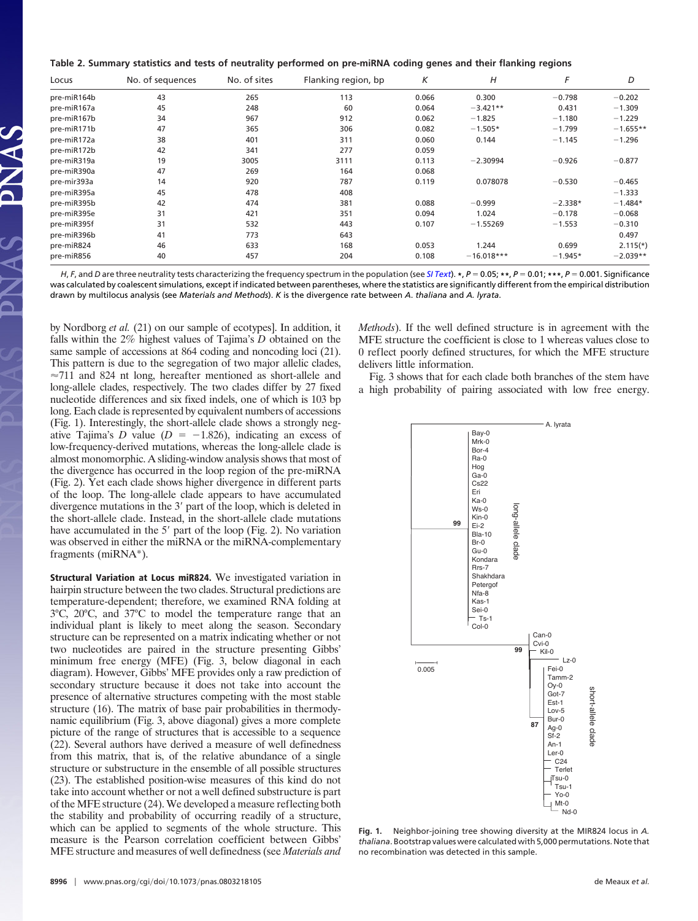|  | Table 2. Summary statistics and tests of neutrality performed on pre-miRNA coding genes and their flanking regions |  |  |  |  |  |  |
|--|--------------------------------------------------------------------------------------------------------------------|--|--|--|--|--|--|
|  |                                                                                                                    |  |  |  |  |  |  |

| Locus       | No. of sequences | No. of sites | Flanking region, bp | Κ     | H            | F         | D          |
|-------------|------------------|--------------|---------------------|-------|--------------|-----------|------------|
| pre-miR164b | 43               | 265          | 113                 | 0.066 | 0.300        | $-0.798$  | $-0.202$   |
| pre-miR167a | 45               | 248          | 60                  | 0.064 | $-3.421**$   | 0.431     | $-1.309$   |
| pre-miR167b | 34               | 967          | 912                 | 0.062 | $-1.825$     | $-1.180$  | $-1.229$   |
| pre-miR171b | 47               | 365          | 306                 | 0.082 | $-1.505*$    | $-1.799$  | $-1.655**$ |
| pre-miR172a | 38               | 401          | 311                 | 0.060 | 0.144        | $-1.145$  | $-1.296$   |
| pre-miR172b | 42               | 341          | 277                 | 0.059 |              |           |            |
| pre-miR319a | 19               | 3005         | 3111                | 0.113 | $-2.30994$   | $-0.926$  | $-0.877$   |
| pre-miR390a | 47               | 269          | 164                 | 0.068 |              |           |            |
| pre-mir393a | 14               | 920          | 787                 | 0.119 | 0.078078     | $-0.530$  | $-0.465$   |
| pre-miR395a | 45               | 478          | 408                 |       |              |           | $-1.333$   |
| pre-miR395b | 42               | 474          | 381                 | 0.088 | $-0.999$     | $-2.338*$ | $-1.484*$  |
| pre-miR395e | 31               | 421          | 351                 | 0.094 | 1.024        | $-0.178$  | $-0.068$   |
| pre-miR395f | 31               | 532          | 443                 | 0.107 | $-1.55269$   | $-1.553$  | $-0.310$   |
| pre-miR396b | 41               | 773          | 643                 |       |              |           | 0.497      |
| pre-miR824  | 46               | 633          | 168                 | 0.053 | 1.244        | 0.699     | $2.115(*)$ |
| pre-miR856  | 40               | 457          | 204                 | 0.108 | $-16.018***$ | $-1.945*$ | $-2.039**$ |

H, F, and D are three neutrality tests characterizing the frequency spectrum in the population (see [SI Text](http://www.pnas.org/cgi/data/0803218105/DCSupplemental/Supplemental_PDF#nameddest=STXT)). \*,  $P = 0.05$ ; \*\*,  $P = 0.01$ ; \*\*\*,  $P = 0.001$ . Significance was calculated by coalescent simulations, except if indicated between parentheses, where the statistics are significantly different from the empirical distribution drawn by multilocus analysis (see *Materials and Methods*). *K* is the divergence rate between *A*. *thaliana* and *A. lyrata*.

by Nordborg *et al.* (21) on our sample of ecotypes]. In addition, it falls within the 2% highest values of Tajima's *D* obtained on the same sample of accessions at 864 coding and noncoding loci (21). This pattern is due to the segregation of two major allelic clades,  $\approx$ 711 and 824 nt long, hereafter mentioned as short-allele and long-allele clades, respectively. The two clades differ by 27 fixed nucleotide differences and six fixed indels, one of which is 103 bp long. Each clade is represented by equivalent numbers of accessions (Fig. 1). Interestingly, the short-allele clade shows a strongly negative Tajima's *D* value ( $D = -1.826$ ), indicating an excess of low-frequency-derived mutations, whereas the long-allele clade is almost monomorphic. A sliding-window analysis shows that most of the divergence has occurred in the loop region of the pre-miRNA (Fig. 2). Yet each clade shows higher divergence in different parts of the loop. The long-allele clade appears to have accumulated divergence mutations in the  $3'$  part of the loop, which is deleted in the short-allele clade. Instead, in the short-allele clade mutations have accumulated in the  $5'$  part of the loop (Fig. 2). No variation was observed in either the miRNA or the miRNA-complementary fragments (miRNA\*).

**Structural Variation at Locus miR824.** We investigated variation in hairpin structure between the two clades. Structural predictions are temperature-dependent; therefore, we examined RNA folding at 3°C, 20°C, and 37°C to model the temperature range that an individual plant is likely to meet along the season. Secondary structure can be represented on a matrix indicating whether or not two nucleotides are paired in the structure presenting Gibbs' minimum free energy (MFE) (Fig. 3, below diagonal in each diagram). However, Gibbs' MFE provides only a raw prediction of secondary structure because it does not take into account the presence of alternative structures competing with the most stable structure (16). The matrix of base pair probabilities in thermodynamic equilibrium (Fig. 3, above diagonal) gives a more complete picture of the range of structures that is accessible to a sequence (22). Several authors have derived a measure of well definedness from this matrix, that is, of the relative abundance of a single structure or substructure in the ensemble of all possible structures (23). The established position-wise measures of this kind do not take into account whether or not a well defined substructure is part of the MFE structure (24). We developed a measure reflecting both the stability and probability of occurring readily of a structure, which can be applied to segments of the whole structure. This measure is the Pearson correlation coefficient between Gibbs' MFE structure and measures of well definedness (see *Materials and*

**<sup>8996</sup>** www.pnas.org-cgi-doi-10.1073-pnas.0803218105 de Meaux *et al.*

*Methods*). If the well defined structure is in agreement with the MFE structure the coefficient is close to 1 whereas values close to 0 reflect poorly defined structures, for which the MFE structure delivers little information.

Fig. 3 shows that for each clade both branches of the stem have a high probability of pairing associated with low free energy.



**Fig. 1.** Neighbor-joining tree showing diversity at the MIR824 locus in *A. thaliana*. Bootstrap values were calculated with 5,000 permutations. Note that no recombination was detected in this sample.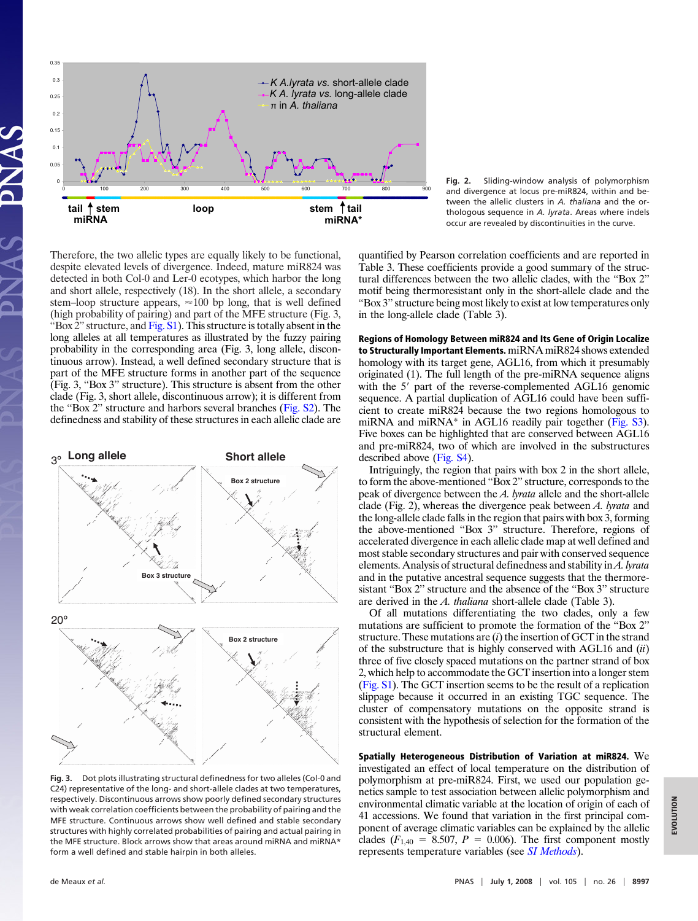

**Fig. 2.** Sliding-window analysis of polymorphism and divergence at locus pre-miR824, within and between the allelic clusters in *A. thaliana* and the orthologous sequence in *A. lyrata*. Areas where indels occur are revealed by discontinuities in the curve.

Therefore, the two allelic types are equally likely to be functional, despite elevated levels of divergence. Indeed, mature miR824 was detected in both Col-0 and Ler-0 ecotypes, which harbor the long and short allele, respectively (18). In the short allele, a secondary stem–loop structure appears,  $\approx 100$  bp long, that is well defined (high probability of pairing) and part of the MFE structure (Fig. 3, "Box  $2$ " structure, and  $Fig. S1$ ). This structure is totally absent in the long alleles at all temperatures as illustrated by the fuzzy pairing probability in the corresponding area (Fig. 3, long allele, discontinuous arrow). Instead, a well defined secondary structure that is part of the MFE structure forms in another part of the sequence (Fig. 3, ''Box 3'' structure). This structure is absent from the other clade (Fig. 3, short allele, discontinuous arrow); it is different from the ''Box 2'' structure and harbors several branches [\(Fig. S2\)](http://www.pnas.org/cgi/data/0803218105/DCSupplemental/Supplemental_PDF#nameddest=SF2). The definedness and stability of these structures in each allelic clade are



**Fig. 3.** Dot plots illustrating structural definedness for two alleles (Col-0 and C24) representative of the long- and short-allele clades at two temperatures, respectively. Discontinuous arrows show poorly defined secondary structures with weak correlation coefficients between the probability of pairing and the MFE structure. Continuous arrows show well defined and stable secondary structures with highly correlated probabilities of pairing and actual pairing in the MFE structure. Block arrows show that areas around miRNA and miRNA\* form a well defined and stable hairpin in both alleles.

quantified by Pearson correlation coefficients and are reported in Table 3. These coefficients provide a good summary of the structural differences between the two allelic clades, with the ''Box 2'' motif being thermoresistant only in the short-allele clade and the ''Box 3'' structure being most likely to exist at low temperatures only in the long-allele clade (Table 3).

**Regions of Homology Between miR824 and Its Gene of Origin Localize to Structurally Important Elements.** miRNA miR824 shows extended homology with its target gene, AGL16, from which it presumably originated (1). The full length of the pre-miRNA sequence aligns with the 5' part of the reverse-complemented AGL16 genomic sequence. A partial duplication of AGL16 could have been sufficient to create miR824 because the two regions homologous to miRNA and miRNA<sup>\*</sup> in AGL16 readily pair together [\(Fig. S3\)](http://www.pnas.org/cgi/data/0803218105/DCSupplemental/Supplemental_PDF#nameddest=SF3). Five boxes can be highlighted that are conserved between AGL16 and pre-miR824, two of which are involved in the substructures described above [\(Fig. S4\)](http://www.pnas.org/cgi/data/0803218105/DCSupplemental/Supplemental_PDF#nameddest=SF4).

Intriguingly, the region that pairs with box 2 in the short allele, to form the above-mentioned ''Box 2'' structure, corresponds to the peak of divergence between the *A. lyrata* allele and the short-allele clade (Fig. 2), whereas the divergence peak between *A. lyrata* and the long-allele clade falls in the region that pairs with box 3, forming the above-mentioned ''Box 3'' structure. Therefore, regions of accelerated divergence in each allelic clade map at well defined and most stable secondary structures and pair with conserved sequence elements. Analysis of structural definedness and stability in *A. lyrata* and in the putative ancestral sequence suggests that the thermoresistant ''Box 2'' structure and the absence of the ''Box 3'' structure are derived in the *A. thaliana* short-allele clade (Table 3).

Of all mutations differentiating the two clades, only a few mutations are sufficient to promote the formation of the ''Box 2'' structure. These mutations are (*i*) the insertion of GCT in the strand of the substructure that is highly conserved with AGL16 and (*ii*) three of five closely spaced mutations on the partner strand of box 2, which help to accommodate the GCT insertion into a longer stem [\(Fig. S1\)](http://www.pnas.org/cgi/data/0803218105/DCSupplemental/Supplemental_PDF#nameddest=SF1). The GCT insertion seems to be the result of a replication slippage because it occurred in an existing TGC sequence. The cluster of compensatory mutations on the opposite strand is consistent with the hypothesis of selection for the formation of the structural element.

**Spatially Heterogeneous Distribution of Variation at miR824.** We investigated an effect of local temperature on the distribution of polymorphism at pre-miR824. First, we used our population genetics sample to test association between allelic polymorphism and environmental climatic variable at the location of origin of each of 41 accessions. We found that variation in the first principal component of average climatic variables can be explained by the allelic clades  $(F_{1,40} = 8.507, P = 0.006)$ . The first component mostly represents temperature variables (see *[SI Methods](http://www.pnas.org/cgi/data/0803218105/DCSupplemental/Supplemental_PDF#nameddest=STXT)*).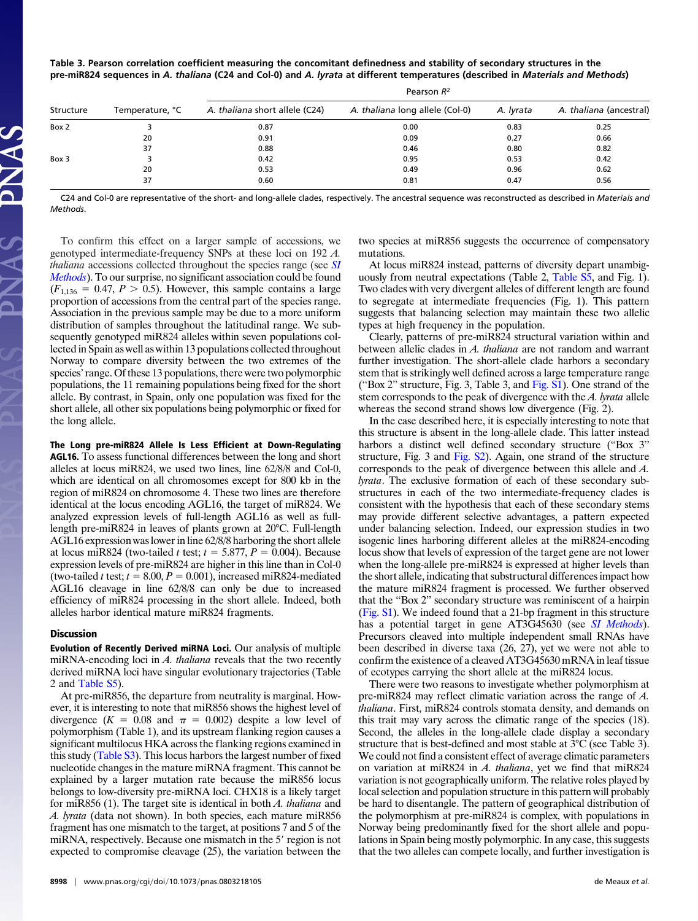| Table 3. Pearson correlation coefficient measuring the concomitant definedness and stability of secondary structures in the      |
|----------------------------------------------------------------------------------------------------------------------------------|
| pre-miR824 sequences in A. thaliana (C24 and Col-0) and A. lyrata at different temperatures (described in Materials and Methods) |

|           |                 | Pearson $R^2$                  |                                 |           |                         |  |  |  |
|-----------|-----------------|--------------------------------|---------------------------------|-----------|-------------------------|--|--|--|
| Structure | Temperature, °C | A. thaliana short allele (C24) | A. thaliana long allele (Col-0) | A. Ivrata | A. thaliana (ancestral) |  |  |  |
| Box 2     |                 | 0.87                           | 0.00                            | 0.83      | 0.25                    |  |  |  |
|           | 20              | 0.91                           | 0.09                            | 0.27      | 0.66                    |  |  |  |
|           | 37              | 0.88                           | 0.46                            | 0.80      | 0.82                    |  |  |  |
| Box 3     |                 | 0.42                           | 0.95                            | 0.53      | 0.42                    |  |  |  |
|           | 20              | 0.53                           | 0.49                            | 0.96      | 0.62                    |  |  |  |
|           | 37              | 0.60                           | 0.81                            | 0.47      | 0.56                    |  |  |  |
|           |                 |                                |                                 |           |                         |  |  |  |

C24 and Col-0 are representative of the short- and long-allele clades, respectively. The ancestral sequence was reconstructed as described in *Materials and Methods*.

mutations.

To confirm this effect on a larger sample of accessions, we genotyped intermediate-frequency SNPs at these loci on 192 *A. thaliana* accessions collected throughout the species range (see *[SI](http://www.pnas.org/cgi/data/0803218105/DCSupplemental/Supplemental_PDF#nameddest=STXT) [Methods](http://www.pnas.org/cgi/data/0803218105/DCSupplemental/Supplemental_PDF#nameddest=STXT)*). To our surprise, no significant association could be found  $(F_{1,136} = 0.47, P > 0.5)$ . However, this sample contains a large proportion of accessions from the central part of the species range. Association in the previous sample may be due to a more uniform distribution of samples throughout the latitudinal range. We subsequently genotyped miR824 alleles within seven populations collected in Spain as well as within 13 populations collected throughout Norway to compare diversity between the two extremes of the species' range. Of these 13 populations, there were two polymorphic populations, the 11 remaining populations being fixed for the short allele. By contrast, in Spain, only one population was fixed for the short allele, all other six populations being polymorphic or fixed for the long allele.

# **The Long pre-miR824 Allele Is Less Efficient at Down-Regulating**

**AGL16.** To assess functional differences between the long and short alleles at locus miR824, we used two lines, line 62/8/8 and Col-0, which are identical on all chromosomes except for 800 kb in the region of miR824 on chromosome 4. These two lines are therefore identical at the locus encoding AGL16, the target of miR824. We analyzed expression levels of full-length AGL16 as well as fulllength pre-miR824 in leaves of plants grown at 20°C. Full-length AGL16 expression was lower in line 62/8/8 harboring the short allele at locus miR824 (two-tailed *t* test;  $t = 5.877$ ,  $P = 0.004$ ). Because expression levels of pre-miR824 are higher in this line than in Col-0 (two-tailed *t* test;  $t = 8.00, P = 0.001$ ), increased miR824-mediated AGL16 cleavage in line 62/8/8 can only be due to increased efficiency of miR824 processing in the short allele. Indeed, both alleles harbor identical mature miR824 fragments.

#### **Discussion**

**Evolution of Recently Derived miRNA Loci.** Our analysis of multiple miRNA-encoding loci in *A. thaliana* reveals that the two recently derived miRNA loci have singular evolutionary trajectories (Table 2 and [Table S5\)](http://www.pnas.org/cgi/data/0803218105/DCSupplemental/Supplemental_PDF#nameddest=ST5).

At pre-miR856, the departure from neutrality is marginal. However, it is interesting to note that miR856 shows the highest level of divergence  $(K = 0.08$  and  $\pi = 0.002$ ) despite a low level of polymorphism (Table 1), and its upstream flanking region causes a significant multilocus HKA across the flanking regions examined in this study [\(Table S3\)](http://www.pnas.org/cgi/data/0803218105/DCSupplemental/Supplemental_PDF#nameddest=ST3). This locus harbors the largest number of fixed nucleotide changes in the mature miRNA fragment. This cannot be explained by a larger mutation rate because the miR856 locus belongs to low-diversity pre-miRNA loci. CHX18 is a likely target for miR856 (1). The target site is identical in both *A. thaliana* and *A. lyrata* (data not shown). In both species, each mature miR856 fragment has one mismatch to the target, at positions 7 and 5 of the miRNA, respectively. Because one mismatch in the 5' region is not expected to compromise cleavage (25), the variation between the

Clearly, patterns of pre-miR824 structural variation within and between allelic clades in *A. thaliana* are not random and warrant

types at high frequency in the population.

further investigation. The short-allele clade harbors a secondary stem that is strikingly well defined across a large temperature range (''Box 2'' structure, Fig. 3, Table 3, and [Fig. S1\)](http://www.pnas.org/cgi/data/0803218105/DCSupplemental/Supplemental_PDF#nameddest=SF1). One strand of the stem corresponds to the peak of divergence with the *A. lyrata* allele whereas the second strand shows low divergence (Fig. 2).

two species at miR856 suggests the occurrence of compensatory

At locus miR824 instead, patterns of diversity depart unambiguously from neutral expectations (Table 2, [Table S5,](http://www.pnas.org/cgi/data/0803218105/DCSupplemental/Supplemental_PDF#nameddest=ST4) and Fig. 1). Two clades with very divergent alleles of different length are found to segregate at intermediate frequencies (Fig. 1). This pattern suggests that balancing selection may maintain these two allelic

In the case described here, it is especially interesting to note that this structure is absent in the long-allele clade. This latter instead harbors a distinct well defined secondary structure ("Box 3" structure, Fig. 3 and [Fig. S2\)](http://www.pnas.org/cgi/data/0803218105/DCSupplemental/Supplemental_PDF#nameddest=SF2). Again, one strand of the structure corresponds to the peak of divergence between this allele and *A. lyrata*. The exclusive formation of each of these secondary substructures in each of the two intermediate-frequency clades is consistent with the hypothesis that each of these secondary stems may provide different selective advantages, a pattern expected under balancing selection. Indeed, our expression studies in two isogenic lines harboring different alleles at the miR824-encoding locus show that levels of expression of the target gene are not lower when the long-allele pre-miR824 is expressed at higher levels than the short allele, indicating that substructural differences impact how the mature miR824 fragment is processed. We further observed that the ''Box 2'' secondary structure was reminiscent of a hairpin [\(Fig. S1\)](http://www.pnas.org/cgi/data/0803218105/DCSupplemental/Supplemental_PDF#nameddest=SF1). We indeed found that a 21-bp fragment in this structure has a potential target in gene AT3G45630 (see *[SI Methods](http://www.pnas.org/cgi/data/0803218105/DCSupplemental/Supplemental_PDF#nameddest=STXT)*). Precursors cleaved into multiple independent small RNAs have been described in diverse taxa (26, 27), yet we were not able to confirm the existence of a cleaved AT3G45630 mRNA in leaf tissue of ecotypes carrying the short allele at the miR824 locus.

There were two reasons to investigate whether polymorphism at pre-miR824 may reflect climatic variation across the range of *A. thaliana*. First, miR824 controls stomata density, and demands on this trait may vary across the climatic range of the species (18). Second, the alleles in the long-allele clade display a secondary structure that is best-defined and most stable at 3°C (see Table 3). We could not find a consistent effect of average climatic parameters on variation at miR824 in *A. thaliana*, yet we find that miR824 variation is not geographically uniform. The relative roles played by local selection and population structure in this pattern will probably be hard to disentangle. The pattern of geographical distribution of the polymorphism at pre-miR824 is complex, with populations in Norway being predominantly fixed for the short allele and populations in Spain being mostly polymorphic. In any case, this suggests that the two alleles can compete locally, and further investigation is